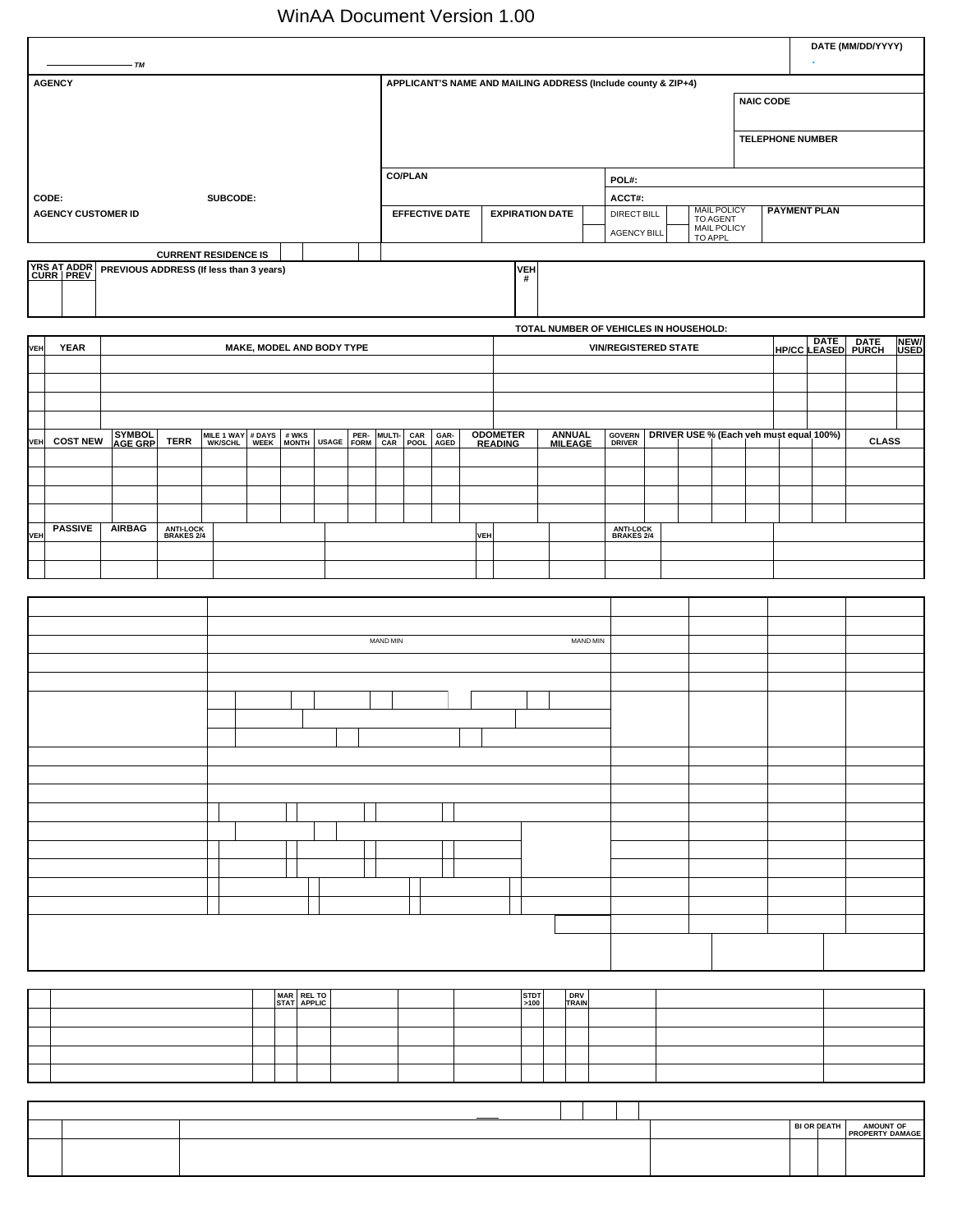| <b>ACORD<sub>IM</sub></b> MICHIGAN PERSONAL AUTO APPLICATION                                            |                                 |                                   |           |                           |                           |            |               |                |                       |     |                                   |                 |                                 |                    |                                                               |                               |                                |                         |                     |                                         | DATE (MM/DD/YYYY)                                                |                     |
|---------------------------------------------------------------------------------------------------------|---------------------------------|-----------------------------------|-----------|---------------------------|---------------------------|------------|---------------|----------------|-----------------------|-----|-----------------------------------|-----------------|---------------------------------|--------------------|---------------------------------------------------------------|-------------------------------|--------------------------------|-------------------------|---------------------|-----------------------------------------|------------------------------------------------------------------|---------------------|
| <b>AGENCY</b>                                                                                           |                                 |                                   |           |                           |                           |            |               |                |                       |     |                                   |                 |                                 |                    | APPLICANT'S NAME AND MAILING ADDRESS (Include county & ZIP+4) |                               |                                | <b>NAIC CODE</b>        |                     |                                         |                                                                  |                     |
|                                                                                                         |                                 |                                   |           |                           |                           |            |               |                |                       |     |                                   |                 |                                 |                    |                                                               |                               |                                |                         |                     |                                         |                                                                  |                     |
|                                                                                                         |                                 |                                   |           |                           |                           |            |               |                |                       |     |                                   |                 |                                 |                    |                                                               |                               |                                | <b>TELEPHONE NUMBER</b> |                     |                                         |                                                                  |                     |
|                                                                                                         |                                 |                                   |           |                           |                           |            |               | <b>CO/PLAN</b> |                       |     |                                   |                 |                                 |                    | POL#:                                                         |                               |                                |                         |                     |                                         |                                                                  |                     |
| CODE:<br><b>AGENCY CUSTOMER ID</b>                                                                      |                                 | SUBCODE:                          |           |                           |                           |            |               |                | <b>EFFECTIVE DATE</b> |     | <b>EXPIRATION DATE</b>            |                 |                                 |                    | ACCT#:<br><b>DIRECT BILL</b>                                  |                               | <b>MAIL POLICY</b><br>TO AGENT |                         | <b>PAYMENT PLAN</b> |                                         |                                                                  |                     |
|                                                                                                         |                                 |                                   |           |                           |                           |            |               |                |                       |     |                                   |                 |                                 | <b>AGENCY BILL</b> |                                                               | <b>MAIL POLICY</b><br>TO APPL |                                |                         |                     |                                         |                                                                  |                     |
| <b>RESIDENCE</b><br>YRS AT ADDR PREVIOUS ADDRESS (If less than 3 years)<br>CURR PREV                    |                                 | <b>CURRENT RESIDENCE IS</b>       |           |                           |                           |            |               |                |                       |     |                                   | <b>VEH</b><br># |                                 |                    |                                                               |                               |                                |                         |                     |                                         | <b>GARAGE LOCATION IF DIFF FROM ABOVE (Inc county &amp; ZIP)</b> |                     |
|                                                                                                         |                                 |                                   |           |                           |                           |            |               |                |                       |     |                                   |                 |                                 |                    |                                                               |                               |                                |                         |                     |                                         |                                                                  |                     |
| <b>VEHICLE DESCRIPTION/USE</b>                                                                          |                                 |                                   |           |                           |                           |            |               |                |                       |     |                                   |                 |                                 |                    | TOTAL NUMBER OF VEHICLES IN HOUSEHOLD:                        |                               |                                |                         |                     |                                         |                                                                  |                     |
| <b>YEAR</b><br><b>VEH</b>                                                                               |                                 |                                   |           |                           | MAKE, MODEL AND BODY TYPE |            |               |                |                       |     |                                   |                 |                                 |                    | <b>VIN/REGISTERED STATE</b>                                   |                               |                                |                         |                     |                                         | HP/CC LEASED PURCH                                               | <b>NEW/</b><br>USED |
|                                                                                                         |                                 |                                   |           |                           |                           |            |               |                |                       |     |                                   |                 |                                 |                    |                                                               |                               |                                |                         |                     |                                         |                                                                  |                     |
|                                                                                                         |                                 |                                   |           |                           |                           |            |               |                |                       |     |                                   |                 |                                 |                    |                                                               |                               |                                |                         |                     |                                         |                                                                  |                     |
| SYMBOL<br>AGE GRP<br><b>COST NEW</b><br>VEH                                                             | <b>TERR</b>                     | MILE 1 WAY # DAYS<br>WK/SCHL WEEK |           | # WKS<br>MONTH            |                           | USAGE FORM | MULTI-<br>CAR | CAR<br>POOL    | GAR-<br>AGED          |     | <b>ODOMETER</b><br><b>READING</b> |                 | <b>ANNUAL</b><br><b>MILEAGE</b> |                    | <b>GOVERN</b><br>DRIVER                                       |                               |                                |                         |                     | DRIVER USE % (Each veh must equal 100%) | <b>CLASS</b>                                                     |                     |
|                                                                                                         |                                 |                                   |           |                           |                           |            |               |                |                       |     |                                   |                 |                                 |                    |                                                               |                               |                                |                         |                     |                                         |                                                                  |                     |
|                                                                                                         |                                 |                                   |           |                           |                           |            |               |                |                       |     |                                   |                 |                                 |                    |                                                               |                               |                                |                         |                     |                                         |                                                                  |                     |
| <b>PASSIVE</b><br><b>AIRBAG</b><br>VEH                                                                  | <b>ANTI-LOCK<br/>BRAKES 2/4</b> |                                   |           |                           |                           |            |               |                |                       | VEH |                                   |                 |                                 |                    | <b>ANTI-LOCK<br/>BRAKES 2/4</b>                               |                               |                                |                         |                     |                                         |                                                                  |                     |
|                                                                                                         |                                 |                                   |           |                           |                           |            |               |                |                       |     |                                   |                 |                                 |                    |                                                               |                               |                                |                         |                     |                                         |                                                                  |                     |
| <b>COVERAGES/PREMIUMS</b>                                                                               |                                 |                                   |           |                           |                           |            |               |                |                       |     |                                   |                 |                                 |                    |                                                               |                               |                                |                         |                     |                                         |                                                                  |                     |
|                                                                                                         |                                 |                                   |           |                           |                           |            |               |                |                       |     |                                   |                 |                                 |                    |                                                               |                               |                                |                         |                     |                                         |                                                                  |                     |
|                                                                                                         |                                 |                                   |           |                           |                           |            | MAND MIN      |                |                       |     |                                   |                 |                                 | MAND MIN           |                                                               |                               |                                |                         |                     |                                         |                                                                  |                     |
|                                                                                                         |                                 |                                   |           |                           |                           |            |               |                |                       |     |                                   |                 |                                 |                    |                                                               |                               |                                |                         |                     |                                         |                                                                  |                     |
|                                                                                                         |                                 | 500                               |           |                           |                           |            |               |                |                       |     |                                   |                 |                                 |                    |                                                               |                               |                                |                         |                     |                                         |                                                                  |                     |
|                                                                                                         |                                 |                                   |           |                           |                           |            |               |                |                       |     |                                   |                 |                                 |                    |                                                               |                               |                                |                         |                     |                                         |                                                                  |                     |
|                                                                                                         |                                 |                                   | 1,000,000 |                           |                           |            |               |                |                       |     |                                   |                 |                                 |                    |                                                               |                               |                                |                         |                     |                                         |                                                                  |                     |
|                                                                                                         |                                 |                                   |           |                           |                           |            |               |                |                       |     |                                   |                 |                                 |                    |                                                               |                               |                                |                         |                     |                                         |                                                                  |                     |
|                                                                                                         |                                 |                                   |           |                           |                           |            |               |                |                       |     |                                   |                 |                                 |                    |                                                               |                               |                                |                         |                     |                                         |                                                                  |                     |
|                                                                                                         |                                 |                                   |           |                           |                           |            |               |                |                       |     |                                   |                 |                                 |                    |                                                               |                               |                                |                         |                     |                                         |                                                                  |                     |
|                                                                                                         |                                 |                                   |           |                           |                           |            |               |                |                       |     |                                   |                 |                                 |                    |                                                               |                               |                                |                         |                     |                                         |                                                                  |                     |
|                                                                                                         |                                 |                                   |           |                           |                           |            |               |                |                       |     |                                   |                 |                                 |                    |                                                               |                               |                                |                         |                     |                                         |                                                                  |                     |
|                                                                                                         |                                 |                                   |           |                           |                           |            |               |                |                       |     |                                   |                 |                                 |                    |                                                               |                               |                                |                         |                     |                                         |                                                                  |                     |
|                                                                                                         |                                 |                                   |           |                           |                           |            |               |                |                       |     |                                   |                 |                                 |                    |                                                               |                               |                                |                         |                     |                                         |                                                                  |                     |
| RESIDENT & DRIVER INFORMATION [List all residents & dependents (licensed or not) and regular operators] |                                 |                                   |           |                           |                           |            |               |                |                       |     |                                   |                 |                                 |                    |                                                               |                               |                                |                         |                     |                                         |                                                                  |                     |
|                                                                                                         |                                 |                                   |           | MAR REL TO<br>STAT APPLIC |                           |            |               |                |                       |     |                                   | STDT<br>>100    | DRV<br>TRAIN                    |                    |                                                               |                               |                                |                         |                     |                                         |                                                                  |                     |
|                                                                                                         |                                 |                                   |           |                           |                           |            |               |                |                       |     |                                   |                 |                                 |                    |                                                               |                               |                                |                         |                     |                                         |                                                                  |                     |
|                                                                                                         |                                 |                                   |           |                           |                           |            |               |                |                       |     |                                   |                 |                                 |                    |                                                               |                               |                                |                         |                     |                                         |                                                                  |                     |
| ACCIDENTS/CONVICTIONS (Note: Your driving record is verified with the state motor vehicle department)   |                                 |                                   |           |                           |                           |            |               |                |                       |     |                                   |                 |                                 |                    |                                                               |                               |                                |                         |                     |                                         |                                                                  |                     |
|                                                                                                         |                                 |                                   |           |                           |                           |            |               |                |                       |     |                                   |                 |                                 |                    |                                                               |                               |                                |                         |                     | <b>BI OR DEATH</b>                      | AMOUNT OF<br>PROPERTY DAMAGE                                     |                     |
|                                                                                                         |                                 |                                   |           |                           |                           |            |               |                |                       |     |                                   |                 |                                 |                    |                                                               |                               |                                |                         |                     |                                         |                                                                  |                     |
| ACORD 90 MI (2003/04)                                                                                   |                                 |                                   |           |                           |                           |            |               |                |                       |     |                                   |                 | PLEASE COMPLETE REVERSE SIDE    |                    |                                                               |                               |                                |                         |                     |                                         | © ACORD CORPORATION 1981                                         |                     |